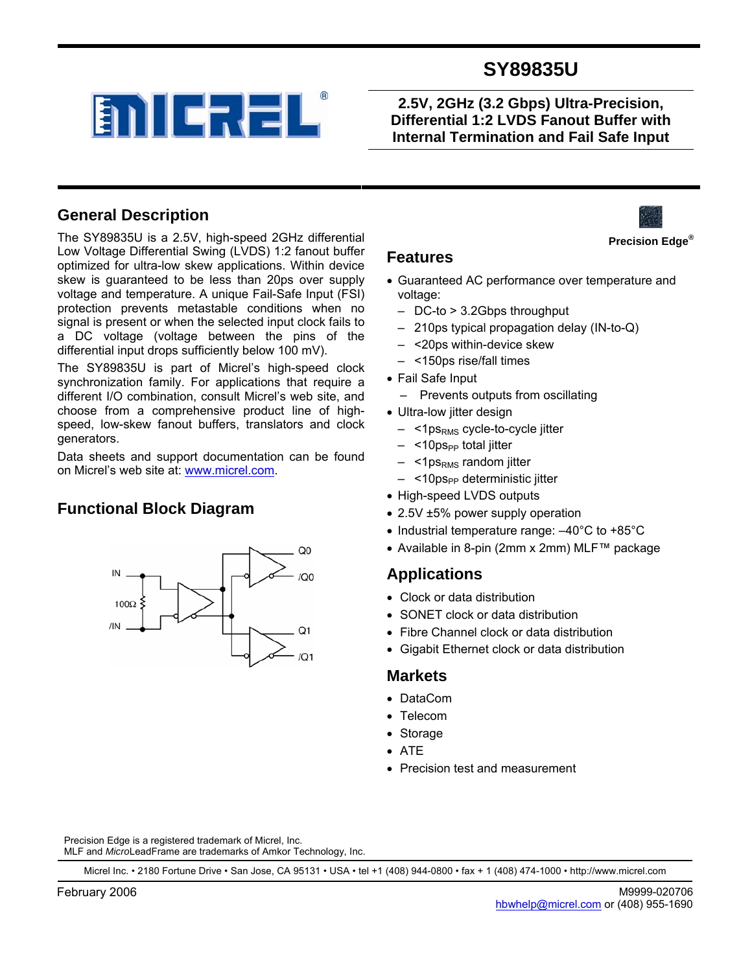

**2.5V, 2GHz (3.2 Gbps) Ultra-Precision, Differential 1:2 LVDS Fanout Buffer with Internal Termination and Fail Safe Input** 



The SY89835U is a 2.5V, high-speed 2GHz differential Low Voltage Differential Swing (LVDS) 1:2 fanout buffer optimized for ultra-low skew applications. Within device skew is guaranteed to be less than 20ps over supply voltage and temperature. A unique Fail-Safe Input (FSI) protection prevents metastable conditions when no signal is present or when the selected input clock fails to a DC voltage (voltage between the pins of the differential input drops sufficiently below 100 mV).

**ENICREL** 

The SY89835U is part of Micrel's high-speed clock synchronization family. For applications that require a different I/O combination, consult Micrel's web site, and choose from a comprehensive product line of highspeed, low-skew fanout buffers, translators and clock generators.

Data sheets and support documentation can be found on Micrel's web site at: www.micrel.com.

## **Functional Block Diagram**



#### **Features**

- Guaranteed AC performance over temperature and voltage:
	- DC-to > 3.2Gbps throughput
	- 210ps typical propagation delay (IN-to-Q)
	- <20ps within-device skew
	- <150ps rise/fall times
- Fail Safe Input
	- Prevents outputs from oscillating
- Ultra-low jitter design
	- $-$  <1 ps<sub>RMS</sub> cycle-to-cycle jitter
	- <10ps<sub>PP</sub> total jitter
	- $-$  <1 ps<sub>RMS</sub> random jitter
	- <10ps<sub>PP</sub> deterministic jitter
- High-speed LVDS outputs
- 2.5V ±5% power supply operation
- Industrial temperature range: –40°C to +85°C
- Available in 8-pin (2mm x 2mm) MLF™ package

#### **Applications**

- Clock or data distribution
- SONET clock or data distribution
- Fibre Channel clock or data distribution
- Gigabit Ethernet clock or data distribution

#### **Markets**

- DataCom
- Telecom
- Storage
- ATE
- Precision test and measurement

Precision Edge is a registered trademark of Micrel, Inc. MLF and *Micro*LeadFrame are trademarks of Amkor Technology, Inc.

Micrel Inc. • 2180 Fortune Drive • San Jose, CA 95131 • USA • tel +1 (408) 944-0800 • fax + 1 (408) 474-1000 • http://www.micrel.com

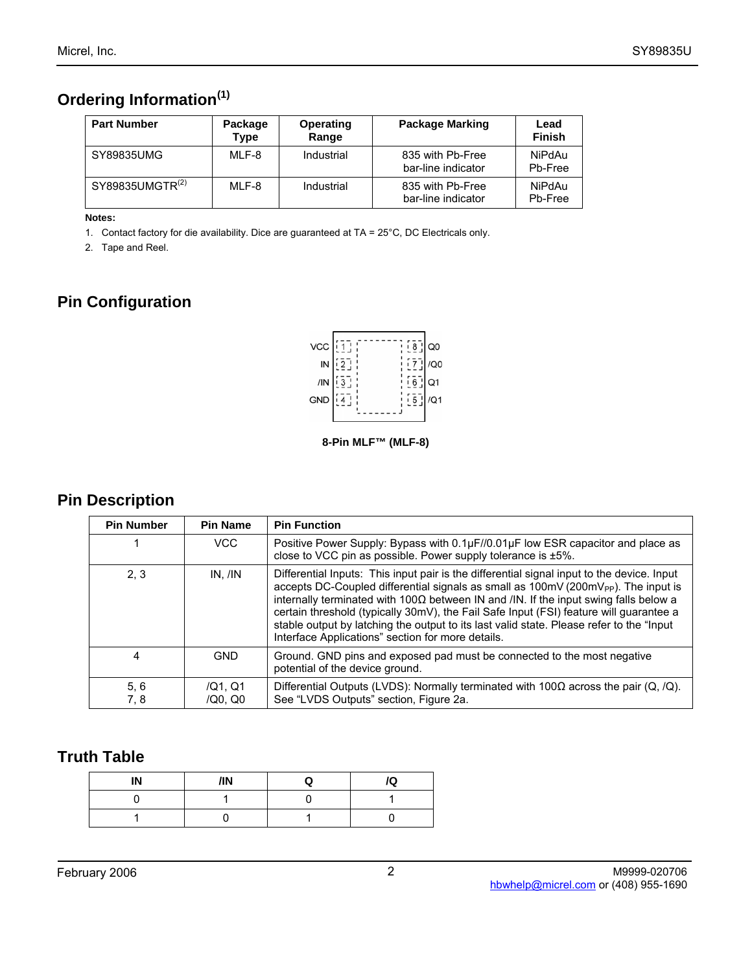# **Ordering Information(1)**

| <b>Part Number</b> | Package<br>Type | Operating<br>Range | <b>Package Marking</b>                 | Lead<br><b>Finish</b> |
|--------------------|-----------------|--------------------|----------------------------------------|-----------------------|
| SY89835UMG         | MLF-8           | Industrial         | 835 with Pb-Free<br>bar-line indicator | NiPdAu<br>Pb-Free     |
| SY89835UMGTR(2)    | MLF-8           | Industrial         | 835 with Pb-Free<br>bar-line indicator | NiPdAu<br>Pb-Free     |

**Notes:**

1. Contact factory for die availability. Dice are guaranteed at TA = 25°C, DC Electricals only.

2. Tape and Reel.

# **Pin Configuration**



**8-Pin MLF™ (MLF-8)**

### **Pin Description**

| <b>Pin Number</b> | <b>Pin Name</b>    | <b>Pin Function</b>                                                                                                                                                                                                                                                                                                                                                                                                                                                                                                                                 |
|-------------------|--------------------|-----------------------------------------------------------------------------------------------------------------------------------------------------------------------------------------------------------------------------------------------------------------------------------------------------------------------------------------------------------------------------------------------------------------------------------------------------------------------------------------------------------------------------------------------------|
|                   | VCC                | Positive Power Supply: Bypass with 0.1µF//0.01µF low ESR capacitor and place as<br>close to VCC pin as possible. Power supply tolerance is ±5%.                                                                                                                                                                                                                                                                                                                                                                                                     |
| 2, 3              | $IN.$ / $IN$       | Differential Inputs: This input pair is the differential signal input to the device. Input<br>accepts DC-Coupled differential signals as small as $100 \text{mV}$ (200 $\text{mV}_{PP}$ ). The input is<br>internally terminated with 100 $\Omega$ between IN and /IN. If the input swing falls below a<br>certain threshold (typically 30mV), the Fail Safe Input (FSI) feature will guarantee a<br>stable output by latching the output to its last valid state. Please refer to the "Input"<br>Interface Applications" section for more details. |
| 4                 | <b>GND</b>         | Ground. GND pins and exposed pad must be connected to the most negative<br>potential of the device ground.                                                                                                                                                                                                                                                                                                                                                                                                                                          |
| 5, 6<br>7.8       | /Q1. Q1<br>/Q0, Q0 | Differential Outputs (LVDS): Normally terminated with 100 $\Omega$ across the pair (Q, /Q).<br>See "LVDS Outputs" section, Figure 2a.                                                                                                                                                                                                                                                                                                                                                                                                               |

### **Truth Table**

| IN | /IN | e. | <br>Q |
|----|-----|----|-------|
|    |     |    |       |
|    |     |    |       |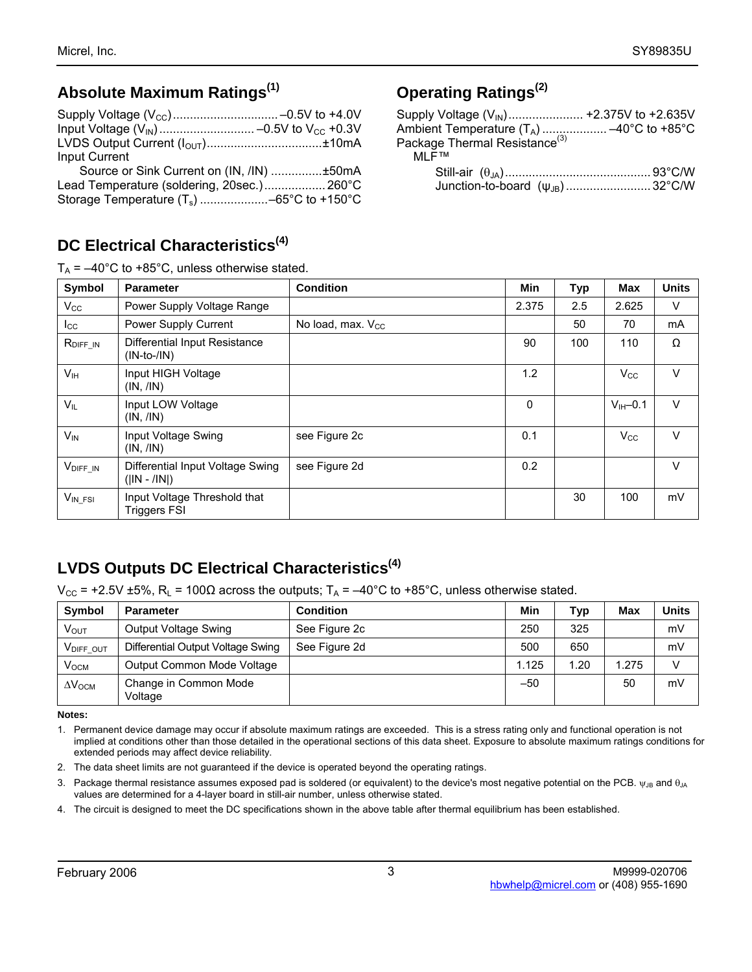### **Absolute Maximum Ratings(1)**

| <b>Input Current</b>                       |  |
|--------------------------------------------|--|
| Source or Sink Current on (IN, /IN) ±50mA  |  |
| Lead Temperature (soldering, 20sec.) 260°C |  |

Storage Temperature (Ts) ....................–65°C to +150°C

## **DC Electrical Characteristics(4)**

 $T_{\text{A}}$  =  $-40^{\circ}$ C to +85 $^{\circ}$ C, unless otherwise stated.

## **Operating Ratings(2)**

| Supply Voltage (V <sub>IN</sub> ) +2.375V to +2.635V |  |
|------------------------------------------------------|--|
| Ambient Temperature $(T_A)$ -40°C to +85°C           |  |
| Package Thermal Resistance <sup>(3)</sup>            |  |
| MI F™                                                |  |
|                                                      |  |
|                                                      |  |

| Symbol                | <b>Parameter</b>                                    | <b>Condition</b>              | <b>Min</b>   | <b>Typ</b> | Max          | <b>Units</b> |
|-----------------------|-----------------------------------------------------|-------------------------------|--------------|------------|--------------|--------------|
| $V_{\rm CC}$          | Power Supply Voltage Range                          |                               | 2.375        | 2.5        | 2.625        | $\vee$       |
| $_{\rm lcc}$          | Power Supply Current                                | No load, max. V <sub>cc</sub> |              | 50         | 70           | mA           |
| R <sub>DIFF IN</sub>  | Differential Input Resistance<br>$(IN-to-/IN)$      |                               | 90           | 100        | 110          | Ω            |
| V <sub>IH</sub>       | Input HIGH Voltage<br>(IN, /IN)                     |                               | 1.2          |            | $V_{\rm CC}$ | $\vee$       |
| $V_{IL}$              | Input LOW Voltage<br>(IN, /IN)                      |                               | $\mathbf{0}$ |            | $VIH-0.1$    | $\vee$       |
| $V_{IN}$              | Input Voltage Swing<br>(IN, /IN)                    | see Figure 2c                 | 0.1          |            | $V_{\rm CC}$ | $\vee$       |
| $V_{\text{DIFF\_IN}}$ | Differential Input Voltage Swing<br>$( IN - /IN )$  | see Figure 2d                 | 0.2          |            |              | $\vee$       |
| $V_{IN}$ FSI          | Input Voltage Threshold that<br><b>Triggers FSI</b> |                               |              | 30         | 100          | mV           |

## **LVDS Outputs DC Electrical Characteristics(4)**

 $V_{CC}$  = +2.5V ±5%, R<sub>L</sub> = 100Ω across the outputs; T<sub>A</sub> = -40°C to +85°C, unless otherwise stated.

| Symbol                    | <b>Parameter</b>                  | <b>Condition</b> | Min   | Typ  | Max   | Units |
|---------------------------|-----------------------------------|------------------|-------|------|-------|-------|
| $V_{\rm OUT}$             | Output Voltage Swing              | See Figure 2c    | 250   | 325  |       | mV    |
| VDIFF OUT                 | Differential Output Voltage Swing | See Figure 2d    | 500   | 650  |       | mV    |
| $V_{OCM}$                 | Output Common Mode Voltage        |                  | 1.125 | 1.20 | 1.275 |       |
| $\Delta V$ <sub>OCM</sub> | Change in Common Mode<br>Voltage  |                  | $-50$ |      | 50    | mV    |

**Notes:** 

1. Permanent device damage may occur if absolute maximum ratings are exceeded. This is a stress rating only and functional operation is not implied at conditions other than those detailed in the operational sections of this data sheet. Exposure to absolute maximum ratings conditions for extended periods may affect device reliability.

- 2. The data sheet limits are not guaranteed if the device is operated beyond the operating ratings.
- 3. Package thermal resistance assumes exposed pad is soldered (or equivalent) to the device's most negative potential on the PCB.  $\psi_{JB}$  and  $\theta_{JA}$ values are determined for a 4-layer board in still-air number, unless otherwise stated.
- 4. The circuit is designed to meet the DC specifications shown in the above table after thermal equilibrium has been established.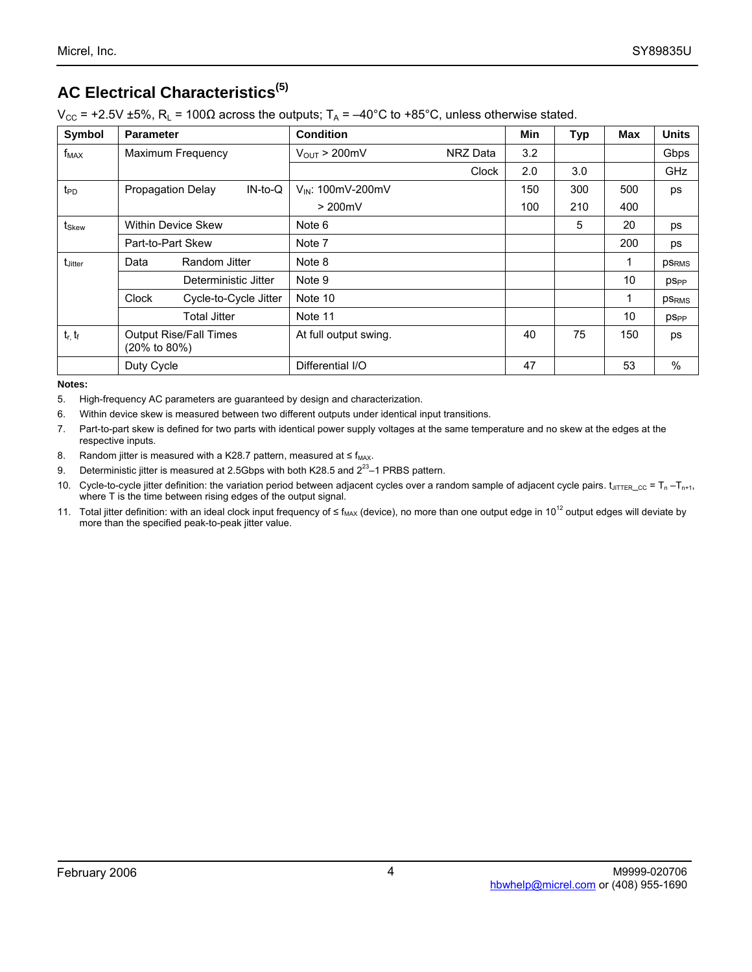# **AC Electrical Characteristics(5)**

 $V_{CC}$  = +2.5V ±5%, R<sub>L</sub> = 100Ω across the outputs; T<sub>A</sub> = -40°C to +85°C, unless otherwise stated.

| Symbol              | <b>Parameter</b>                                           | <b>Condition</b>                     | <b>Min</b> | <b>Typ</b> | Max | <b>Units</b>           |
|---------------------|------------------------------------------------------------|--------------------------------------|------------|------------|-----|------------------------|
| $f_{MAX}$           | Maximum Frequency                                          | $V_{OUT}$ > 200mV<br><b>NRZ</b> Data | 3.2        |            |     | Gbps                   |
|                     |                                                            | Clock                                | 2.0        | 3.0        |     | GHz                    |
| t <sub>PD</sub>     | Propagation Delay<br>$IN-to-Q$                             | VIN: 100mV-200mV                     | 150        | 300        | 500 | ps                     |
|                     |                                                            | $> 200$ mV                           | 100        | 210        | 400 |                        |
| tskew               | <b>Within Device Skew</b>                                  | Note 6                               |            | 5          | 20  | ps                     |
|                     | Part-to-Part Skew                                          | Note 7                               |            |            | 200 | ps                     |
| t <sub>Jitter</sub> | Random Jitter<br>Data                                      | Note 8                               |            |            |     | <b>PSRMS</b>           |
|                     | Deterministic Jitter                                       | Note 9                               |            |            | 10  | <b>pS<sub>PP</sub></b> |
|                     | Clock<br>Cycle-to-Cycle Jitter                             | Note 10                              |            |            | 1   | <b>PSRMS</b>           |
|                     | <b>Total Jitter</b>                                        | Note 11                              |            |            | 10  | <b>pS<sub>PP</sub></b> |
| $t_r$ , $t_f$       | <b>Output Rise/Fall Times</b><br>$(20\% \text{ to } 80\%)$ | At full output swing.                | 40         | 75         | 150 | ps                     |
|                     | Duty Cycle                                                 | Differential I/O                     | 47         |            | 53  | $\%$                   |

#### **Notes:**

5. High-frequency AC parameters are guaranteed by design and characterization.

6. Within device skew is measured between two different outputs under identical input transitions.

7. Part-to-part skew is defined for two parts with identical power supply voltages at the same temperature and no skew at the edges at the respective inputs.

8. Random jitter is measured with a K28.7 pattern, measured at  $\leq f_{\text{MAX}}$ .

9. Deterministic jitter is measured at 2.5Gbps with both K28.5 and  $2^{23}$ –1 PRBS pattern.

10. Cycle-to-cycle jitter definition: the variation period between adjacent cycles over a random sample of adjacent cycle pairs.  $t_{\text{JITTER\_CC}} = T_n - T_{n+1}$ , where T is the time between rising edges of the output signal.

11. Total jitter definition: with an ideal clock input frequency of ≤  $f_{MAX}$  (device), no more than one output edge in 10<sup>12</sup> output edges will deviate by more than the specified peak-to-peak jitter value.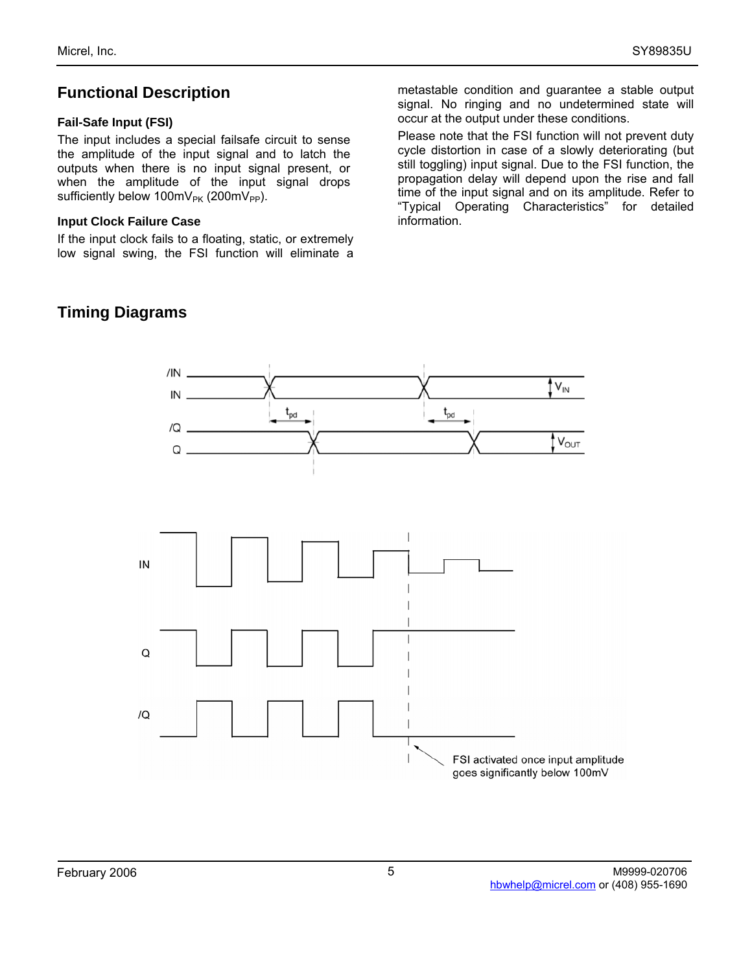### **Functional Description**

#### **Fail-Safe Input (FSI)**

The input includes a special failsafe circuit to sense the amplitude of the input signal and to latch the outputs when there is no input signal present, or when the amplitude of the input signal drops sufficiently below  $100mV_{PK}$  (200mV<sub>PP</sub>).

#### **Input Clock Failure Case**

If the input clock fails to a floating, static, or extremely low signal swing, the FSI function will eliminate a metastable condition and guarantee a stable output signal. No ringing and no undetermined state will occur at the output under these conditions.

Please note that the FSI function will not prevent duty cycle distortion in case of a slowly deteriorating (but still toggling) input signal. Due to the FSI function, the propagation delay will depend upon the rise and fall time of the input signal and on its amplitude. Refer to "Typical Operating Characteristics" for detailed information.



# **Timing Diagrams**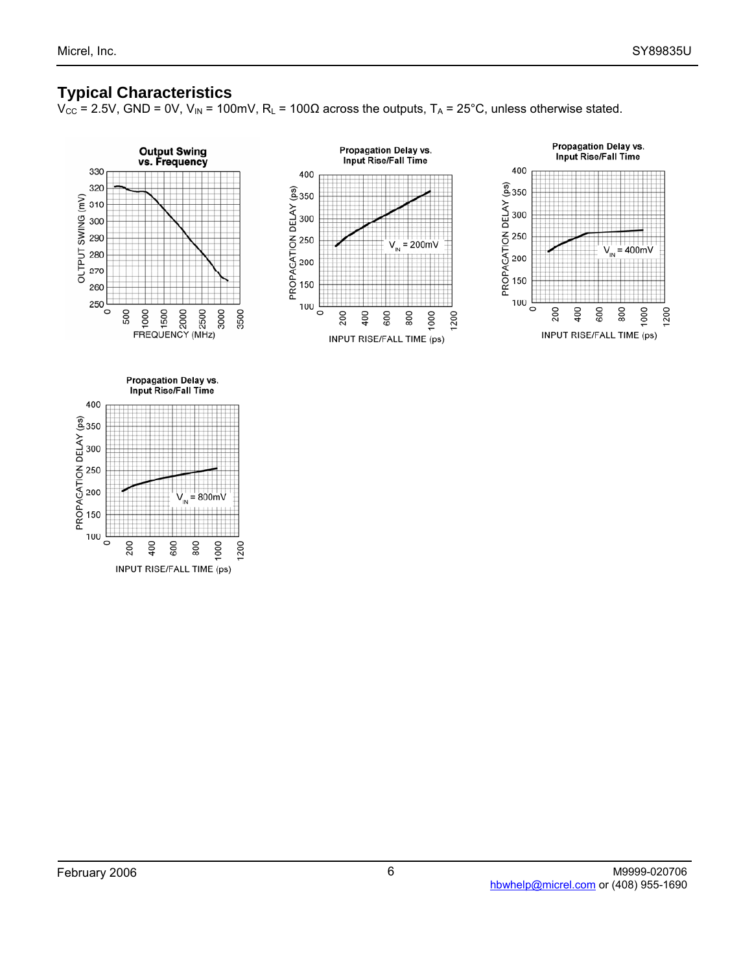#### **Typical Characteristics**

 $V_{CC}$  = 2.5V, GND = 0V, V<sub>IN</sub> = 100mV, R<sub>L</sub> = 100Ω across the outputs, T<sub>A</sub> = 25°C, unless otherwise stated.



 $\circ$ 

400 200

600

INPUT RISE/FALL TIME (ps)

000 **200** 

800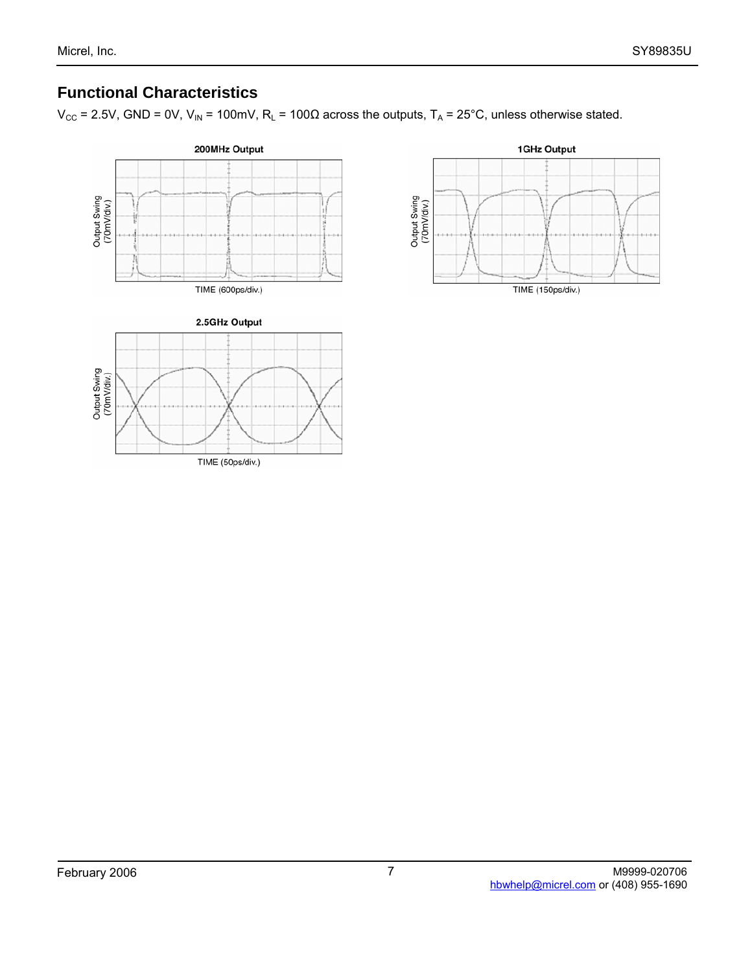## **Functional Characteristics**

 $V_{CC}$  = 2.5V, GND = 0V, V<sub>IN</sub> = 100mV, R<sub>L</sub> = 100Ω across the outputs, T<sub>A</sub> = 25°C, unless otherwise stated.



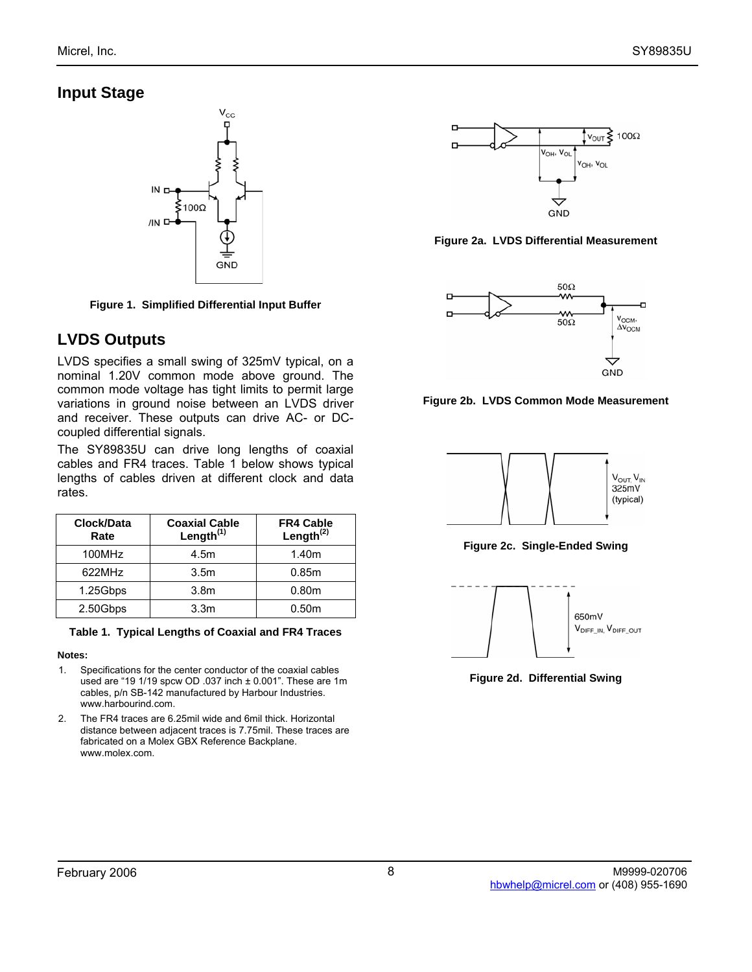## **Input Stage**



**Figure 1. Simplified Differential Input Buffer** 

## **LVDS Outputs**

LVDS specifies a small swing of 325mV typical, on a nominal 1.20V common mode above ground. The common mode voltage has tight limits to permit large variations in ground noise between an LVDS driver and receiver. These outputs can drive AC- or DCcoupled differential signals.

The SY89835U can drive long lengths of coaxial cables and FR4 traces. Table 1 below shows typical lengths of cables driven at different clock and data rates.

| Clock/Data<br>Rate | <b>Coaxial Cable</b><br>Length $(1)$ | <b>FR4 Cable</b><br>Length $^{(2)}$ |
|--------------------|--------------------------------------|-------------------------------------|
| 100MHz             | 4.5m                                 | 1.40m                               |
| 622MHz             | 3.5 <sub>m</sub>                     | 0.85m                               |
| 1.25Gbps           | 3.8 <sub>m</sub>                     | 0.80 <sub>m</sub>                   |
| 2.50Gbps           | 3.3 <sub>m</sub>                     | 0.50 <sub>m</sub>                   |

#### **Table 1. Typical Lengths of Coaxial and FR4 Traces**

#### **Notes:**

- 1. Specifications for the center conductor of the coaxial cables used are "19 1/19 spcw OD .037 inch ± 0.001". These are 1m cables, p/n SB-142 manufactured by Harbour Industries. www.harbourind.com.
- 2. The FR4 traces are 6.25mil wide and 6mil thick. Horizontal distance between adjacent traces is 7.75mil. These traces are fabricated on a Molex GBX Reference Backplane. www.molex.com.



**Figure 2a. LVDS Differential Measurement** 



**Figure 2b. LVDS Common Mode Measurement** 



**Figure 2c. Single-Ended Swing** 



**Figure 2d. Differential Swing**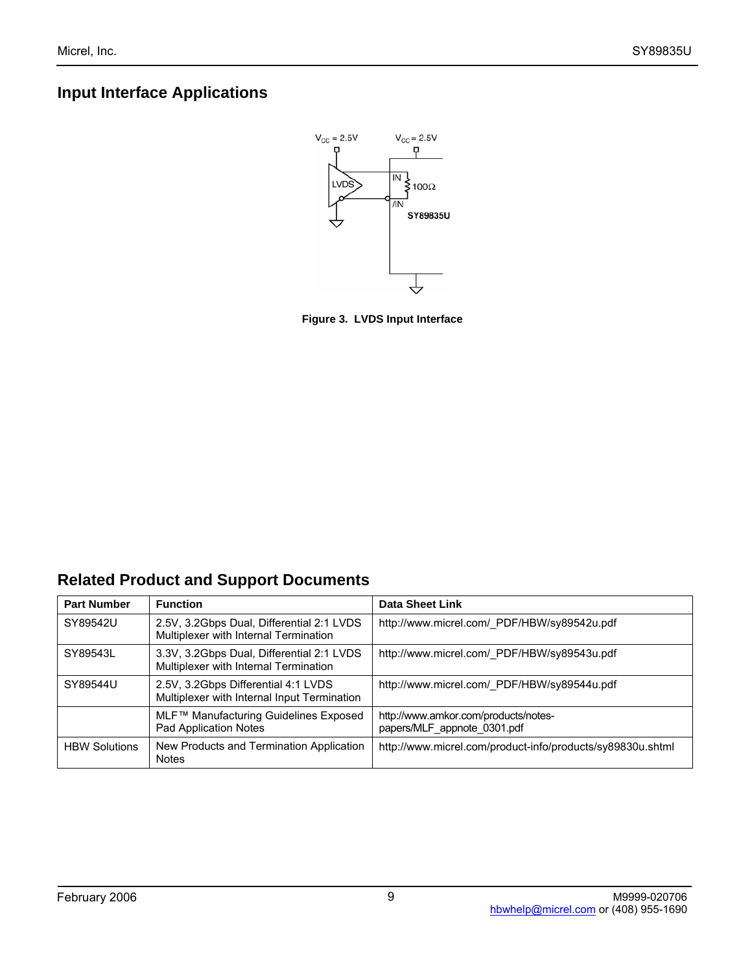## **Input Interface Applications**



**Figure 3. LVDS Input Interface** 

## **Related Product and Support Documents**

| <b>Part Number</b>   | <b>Function</b>                                                                    | <b>Data Sheet Link</b>                                              |
|----------------------|------------------------------------------------------------------------------------|---------------------------------------------------------------------|
| SY89542U             | 2.5V, 3.2Gbps Dual, Differential 2:1 LVDS<br>Multiplexer with Internal Termination | http://www.micrel.com/ PDF/HBW/sy89542u.pdf                         |
| SY89543L             | 3.3V, 3.2Gbps Dual, Differential 2:1 LVDS<br>Multiplexer with Internal Termination | http://www.micrel.com/ PDF/HBW/sy89543u.pdf                         |
| SY89544U             | 2.5V, 3.2Gbps Differential 4:1 LVDS<br>Multiplexer with Internal Input Termination | http://www.micrel.com/ PDF/HBW/sy89544u.pdf                         |
|                      | MLF™ Manufacturing Guidelines Exposed<br>Pad Application Notes                     | http://www.amkor.com/products/notes-<br>papers/MLF appnote 0301.pdf |
| <b>HBW Solutions</b> | New Products and Termination Application<br><b>Notes</b>                           | http://www.micrel.com/product-info/products/sy89830u.shtml          |